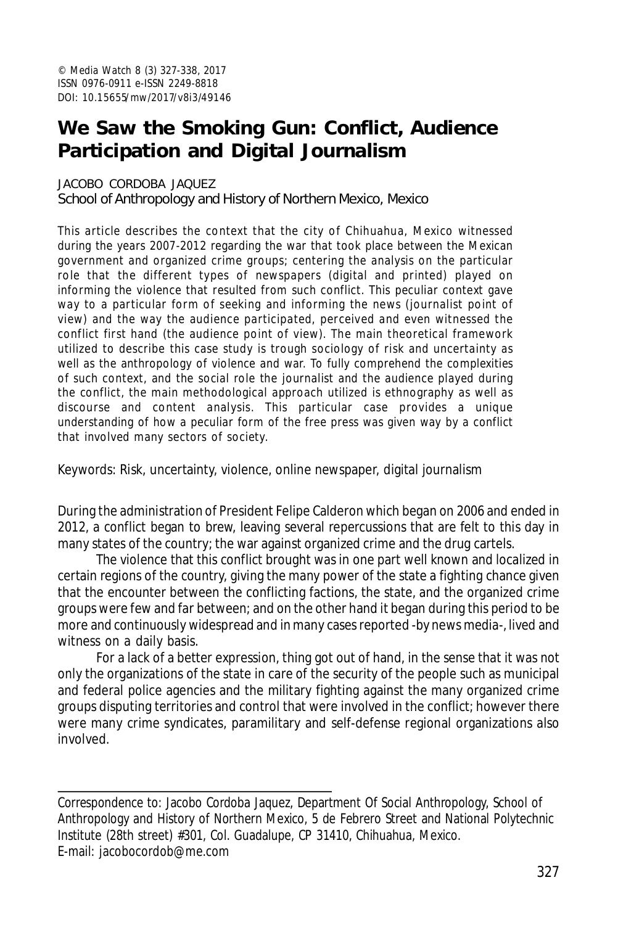# **We Saw the Smoking Gun: Conflict, Audience Participation and Digital Journalism**

#### JACOBO CORDOBA JAQUEZ

School of Anthropology and History of Northern Mexico, Mexico

This article describes the context that the city of Chihuahua, Mexico witnessed during the years 2007-2012 regarding the war that took place between the Mexican government and organized crime groups; centering the analysis on the particular role that the different types of newspapers (digital and printed) played on informing the violence that resulted from such conflict. This peculiar context gave way to a particular form of seeking and informing the news (journalist point of view) and the way the audience participated, perceived and even witnessed the conflict first hand (the audience point of view). The main theoretical framework utilized to describe this case study is trough sociology of risk and uncertainty as well as the anthropology of violence and war. To fully comprehend the complexities of such context, and the social role the journalist and the audience played during the conflict, the main methodological approach utilized is ethnography as well as discourse and content analysis. This particular case provides a unique understanding of how a peculiar form of the free press was given way by a conflict that involved many sectors of society.

Keywords: Risk, uncertainty, violence, online newspaper, digital journalism

During the administration of President Felipe Calderon which began on 2006 and ended in 2012, a conflict began to brew, leaving several repercussions that are felt to this day in many states of the country; the war against organized crime and the drug cartels.

The violence that this conflict brought was in one part well known and localized in certain regions of the country, giving the many power of the state a fighting chance given that the encounter between the conflicting factions, the state, and the organized crime groups were few and far between; and on the other hand it began during this period to be more and continuously widespread and in many cases reported -by news media-, lived and witness on a daily basis.

For a lack of a better expression, thing got out of hand, in the sense that it was not only the organizations of the state in care of the security of the people such as municipal and federal police agencies and the military fighting against the many organized crime groups disputing territories and control that were involved in the conflict; however there were many crime syndicates, paramilitary and self-defense regional organizations also involved.

Correspondence to: Jacobo Cordoba Jaquez, Department Of Social Anthropology, School of Anthropology and History of Northern Mexico, 5 de Febrero Street and National Polytechnic Institute (28th street) #301, Col. Guadalupe, CP 31410, Chihuahua, Mexico. E-mail: jacobocordob@me.com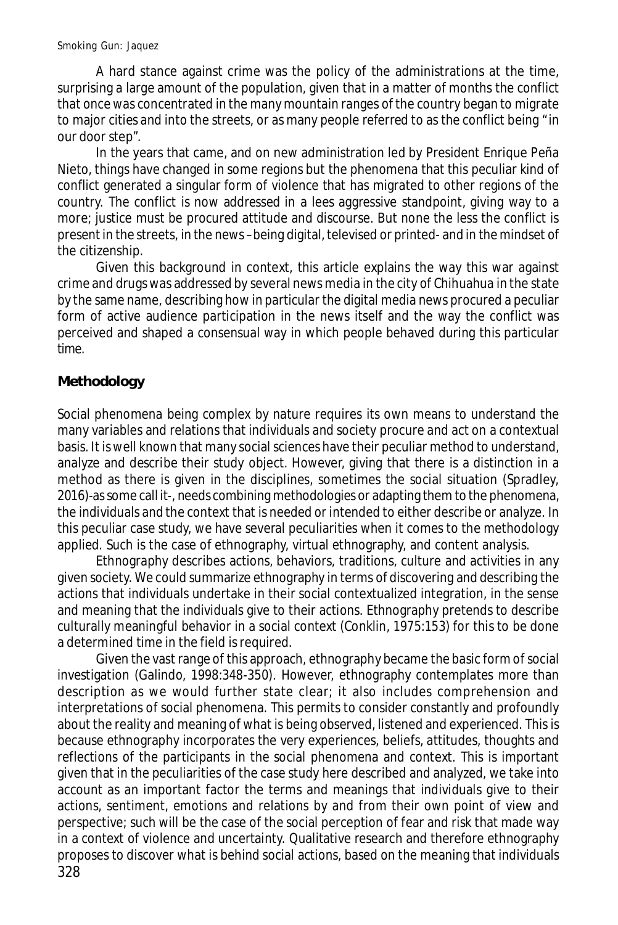A hard stance against crime was the policy of the administrations at the time, surprising a large amount of the population, given that in a matter of months the conflict that once was concentrated in the many mountain ranges of the country began to migrate to major cities and into the streets, or as many people referred to as the conflict being "in our door step".

In the years that came, and on new administration led by President Enrique Peña Nieto, things have changed in some regions but the phenomena that this peculiar kind of conflict generated a singular form of violence that has migrated to other regions of the country. The conflict is now addressed in a lees aggressive standpoint, giving way to a more; justice must be procured attitude and discourse. But none the less the conflict is present in the streets, in the news –being digital, televised or printed- and in the mindset of the citizenship.

Given this background in context, this article explains the way this war against crime and drugs was addressed by several news media in the city of Chihuahua in the state by the same name, describing how in particular the digital media news procured a peculiar form of active audience participation in the news itself and the way the conflict was perceived and shaped a consensual way in which people behaved during this particular time.

# **Methodology**

Social phenomena being complex by nature requires its own means to understand the many variables and relations that individuals and society procure and act on a contextual basis. It is well known that many social sciences have their peculiar method to understand, analyze and describe their study object. However, giving that there is a distinction in a method as there is given in the disciplines, sometimes the social situation (Spradley, 2016)-as some call it-, needs combining methodologies or adapting them to the phenomena, the individuals and the context that is needed or intended to either describe or analyze. In this peculiar case study, we have several peculiarities when it comes to the methodology applied. Such is the case of ethnography, virtual ethnography, and content analysis.

Ethnography describes actions, behaviors, traditions, culture and activities in any given society. We could summarize ethnography in terms of discovering and describing the actions that individuals undertake in their social contextualized integration, in the sense and meaning that the individuals give to their actions. Ethnography pretends to describe culturally meaningful behavior in a social context (Conklin, 1975:153) for this to be done a determined time in the field is required.

328 Given the vast range of this approach, ethnography became the basic form of social investigation (Galindo, 1998:348-350). However, ethnography contemplates more than description as we would further state clear; it also includes comprehension and interpretations of social phenomena. This permits to consider constantly and profoundly about the reality and meaning of what is being observed, listened and experienced. This is because ethnography incorporates the very experiences, beliefs, attitudes, thoughts and reflections of the participants in the social phenomena and context. This is important given that in the peculiarities of the case study here described and analyzed, we take into account as an important factor the terms and meanings that individuals give to their actions, sentiment, emotions and relations by and from their own point of view and perspective; such will be the case of the social perception of fear and risk that made way in a context of violence and uncertainty. Qualitative research and therefore ethnography proposes to discover what is behind social actions, based on the meaning that individuals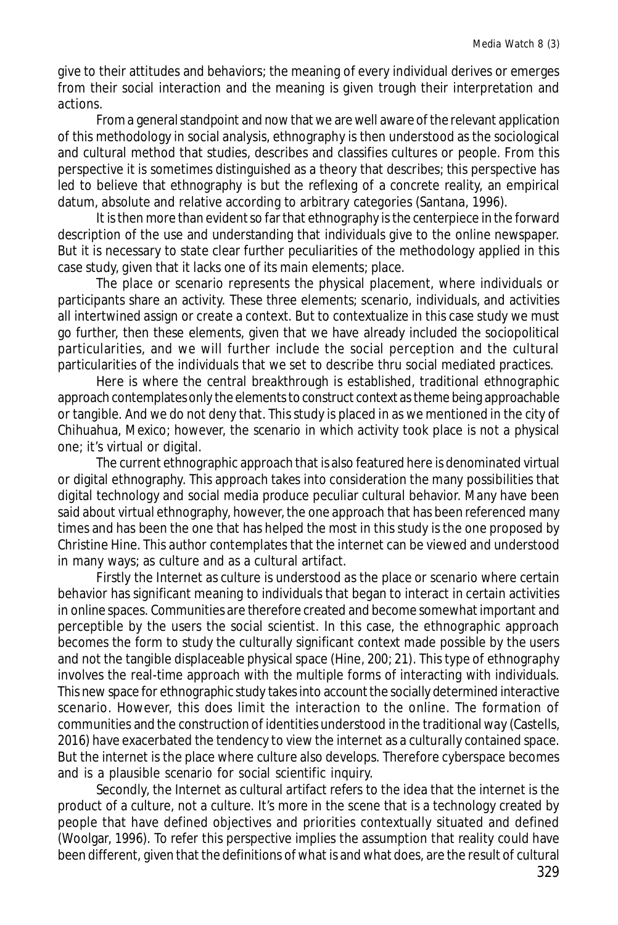give to their attitudes and behaviors; the meaning of every individual derives or emerges from their social interaction and the meaning is given trough their interpretation and actions.

From a general standpoint and now that we are well aware of the relevant application of this methodology in social analysis, ethnography is then understood as the sociological and cultural method that studies, describes and classifies cultures or people. From this perspective it is sometimes distinguished as a theory that describes; this perspective has led to believe that ethnography is but the reflexing of a concrete reality, an empirical datum, absolute and relative according to arbitrary categories (Santana, 1996).

It is then more than evident so far that ethnography is the centerpiece in the forward description of the use and understanding that individuals give to the online newspaper. But it is necessary to state clear further peculiarities of the methodology applied in this case study, given that it lacks one of its main elements; place.

The place or scenario represents the physical placement, where individuals or participants share an activity. These three elements; scenario, individuals, and activities all intertwined assign or create a context. But to contextualize in this case study we must go further, then these elements, given that we have already included the sociopolitical particularities, and we will further include the social perception and the cultural particularities of the individuals that we set to describe thru social mediated practices.

Here is where the central breakthrough is established, traditional ethnographic approach contemplates only the elements to construct context as theme being approachable or tangible. And we do not deny that. This study is placed in as we mentioned in the city of Chihuahua, Mexico; however, the scenario in which activity took place is not a physical one; it's virtual or digital.

The current ethnographic approach that is also featured here is denominated virtual or digital ethnography. This approach takes into consideration the many possibilities that digital technology and social media produce peculiar cultural behavior. Many have been said about virtual ethnography, however, the one approach that has been referenced many times and has been the one that has helped the most in this study is the one proposed by Christine Hine. This author contemplates that the internet can be viewed and understood in many ways; as culture and as a cultural artifact.

Firstly the Internet as culture is understood as the place or scenario where certain behavior has significant meaning to individuals that began to interact in certain activities in online spaces. Communities are therefore created and become somewhat important and perceptible by the users the social scientist. In this case, the ethnographic approach becomes the form to study the culturally significant context made possible by the users and not the tangible displaceable physical space (Hine, 200; 21). This type of ethnography involves the real-time approach with the multiple forms of interacting with individuals. This new space for ethnographic study takes into account the socially determined interactive scenario. However, this does limit the interaction to the online. The formation of communities and the construction of identities understood in the traditional way (Castells, 2016) have exacerbated the tendency to view the internet as a culturally contained space. But the internet is the place where culture also develops. Therefore cyberspace becomes and is a plausible scenario for social scientific inquiry.

Secondly, the Internet as cultural artifact refers to the idea that the internet is the product of a culture, not a culture. It's more in the scene that is a technology created by people that have defined objectives and priorities contextually situated and defined (Woolgar, 1996). To refer this perspective implies the assumption that reality could have been different, given that the definitions of what is and what does, are the result of cultural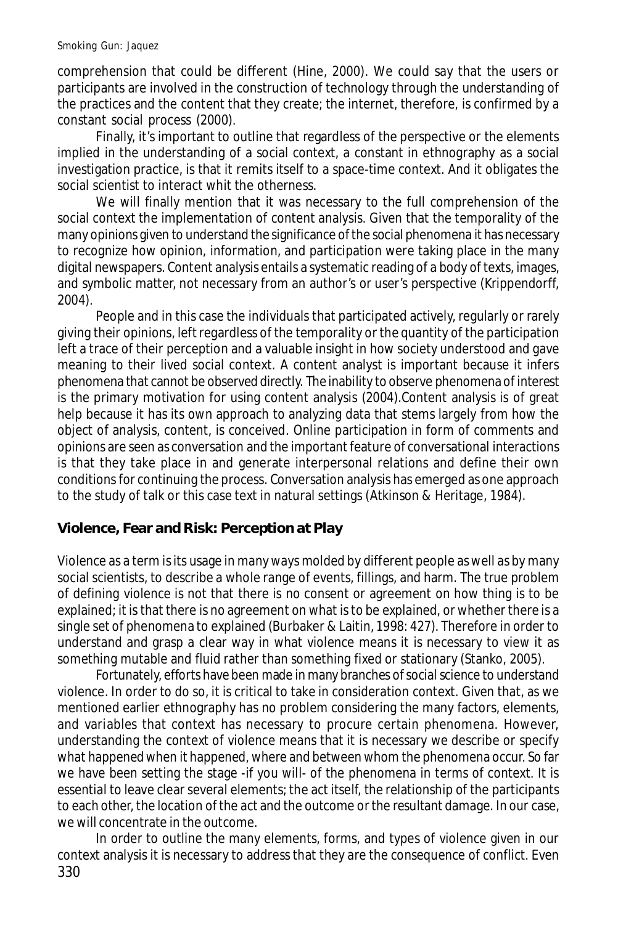comprehension that could be different (Hine, 2000). We could say that the users or participants are involved in the construction of technology through the understanding of the practices and the content that they create; the internet, therefore, is confirmed by a constant social process (2000).

Finally, it's important to outline that regardless of the perspective or the elements implied in the understanding of a social context, a constant in ethnography as a social investigation practice, is that it remits itself to a space-time context. And it obligates the social scientist to interact whit the otherness.

We will finally mention that it was necessary to the full comprehension of the social context the implementation of content analysis. Given that the temporality of the many opinions given to understand the significance of the social phenomena it has necessary to recognize how opinion, information, and participation were taking place in the many digital newspapers. Content analysis entails a systematic reading of a body of texts, images, and symbolic matter, not necessary from an author's or user's perspective (Krippendorff, 2004).

People and in this case the individuals that participated actively, regularly or rarely giving their opinions, left regardless of the temporality or the quantity of the participation left a trace of their perception and a valuable insight in how society understood and gave meaning to their lived social context. A content analyst is important because it infers phenomena that cannot be observed directly. The inability to observe phenomena of interest is the primary motivation for using content analysis (2004).Content analysis is of great help because it has its own approach to analyzing data that stems largely from how the object of analysis, content, is conceived. Online participation in form of comments and opinions are seen as conversation and the important feature of conversational interactions is that they take place in and generate interpersonal relations and define their own conditions for continuing the process. Conversation analysis has emerged as one approach to the study of talk or this case text in natural settings (Atkinson & Heritage, 1984).

#### **Violence, Fear and Risk: Perception at Play**

Violence as a term is its usage in many ways molded by different people as well as by many social scientists, to describe a whole range of events, fillings, and harm. The true problem of defining violence is not that there is no consent or agreement on how thing is to be explained; it is that there is no agreement on what is to be explained, or whether there is a single set of phenomena to explained (Burbaker & Laitin, 1998: 427). Therefore in order to understand and grasp a clear way in what violence means it is necessary to view it as something mutable and fluid rather than something fixed or stationary (Stanko, 2005).

Fortunately, efforts have been made in many branches of social science to understand violence. In order to do so, it is critical to take in consideration context. Given that, as we mentioned earlier ethnography has no problem considering the many factors, elements, and variables that context has necessary to procure certain phenomena. However, understanding the context of violence means that it is necessary we describe or specify what happened when it happened, where and between whom the phenomena occur. So far we have been setting the stage -if you will- of the phenomena in terms of context. It is essential to leave clear several elements; the act itself, the relationship of the participants to each other, the location of the act and the outcome or the resultant damage. In our case, we will concentrate in the outcome.

330 In order to outline the many elements, forms, and types of violence given in our context analysis it is necessary to address that they are the consequence of conflict. Even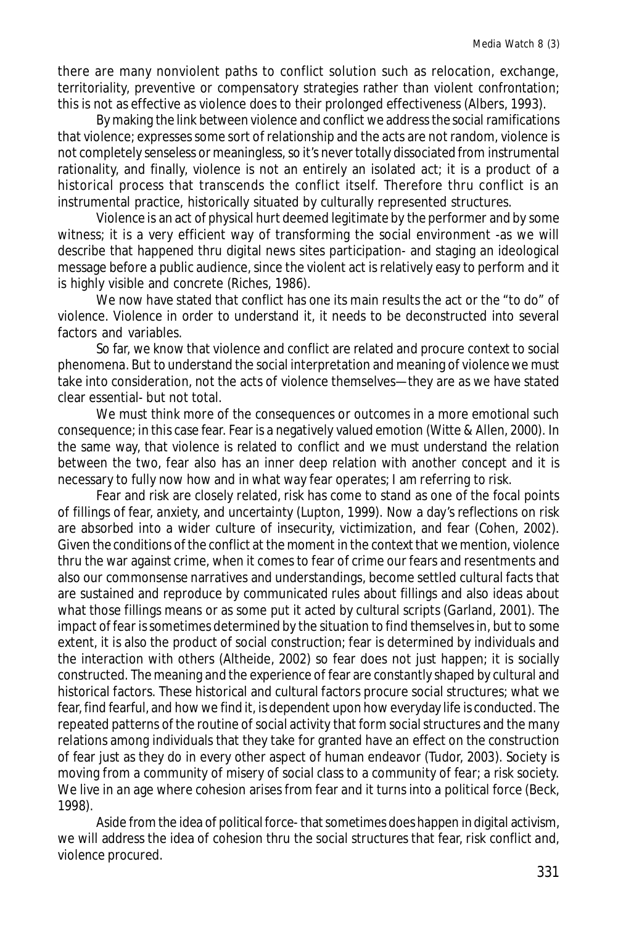there are many nonviolent paths to conflict solution such as relocation, exchange, territoriality, preventive or compensatory strategies rather than violent confrontation; this is not as effective as violence does to their prolonged effectiveness (Albers, 1993).

By making the link between violence and conflict we address the social ramifications that violence; expresses some sort of relationship and the acts are not random, violence is not completely senseless or meaningless, so it's never totally dissociated from instrumental rationality, and finally, violence is not an entirely an isolated act; it is a product of a historical process that transcends the conflict itself. Therefore thru conflict is an instrumental practice, historically situated by culturally represented structures.

Violence is an act of physical hurt deemed legitimate by the performer and by some witness; it is a very efficient way of transforming the social environment -as we will describe that happened thru digital news sites participation- and staging an ideological message before a public audience, since the violent act is relatively easy to perform and it is highly visible and concrete (Riches, 1986).

We now have stated that conflict has one its main results the act or the "to do" of violence. Violence in order to understand it, it needs to be deconstructed into several factors and variables.

So far, we know that violence and conflict are related and procure context to social phenomena. But to understand the social interpretation and meaning of violence we must take into consideration, not the acts of violence themselves—they are as we have stated clear essential- but not total.

We must think more of the consequences or outcomes in a more emotional such consequence; in this case fear. Fear is a negatively valued emotion (Witte & Allen, 2000). In the same way, that violence is related to conflict and we must understand the relation between the two, fear also has an inner deep relation with another concept and it is necessary to fully now how and in what way fear operates; I am referring to risk.

Fear and risk are closely related, risk has come to stand as one of the focal points of fillings of fear, anxiety, and uncertainty (Lupton, 1999). Now a day's reflections on risk are absorbed into a wider culture of insecurity, victimization, and fear (Cohen, 2002). Given the conditions of the conflict at the moment in the context that we mention, violence thru the war against crime, when it comes to fear of crime our fears and resentments and also our commonsense narratives and understandings, become settled cultural facts that are sustained and reproduce by communicated rules about fillings and also ideas about what those fillings means or as some put it acted by cultural scripts (Garland, 2001). The impact of fear is sometimes determined by the situation to find themselves in, but to some extent, it is also the product of social construction; fear is determined by individuals and the interaction with others (Altheide, 2002) so fear does not just happen; it is socially constructed. The meaning and the experience of fear are constantly shaped by cultural and historical factors. These historical and cultural factors procure social structures; what we fear, find fearful, and how we find it, is dependent upon how everyday life is conducted. The repeated patterns of the routine of social activity that form social structures and the many relations among individuals that they take for granted have an effect on the construction of fear just as they do in every other aspect of human endeavor (Tudor, 2003). Society is moving from a community of misery of social class to a community of fear; a risk society. We live in an age where cohesion arises from fear and it turns into a political force (Beck, 1998).

Aside from the idea of political force- that sometimes does happen in digital activism, we will address the idea of cohesion thru the social structures that fear, risk conflict and, violence procured.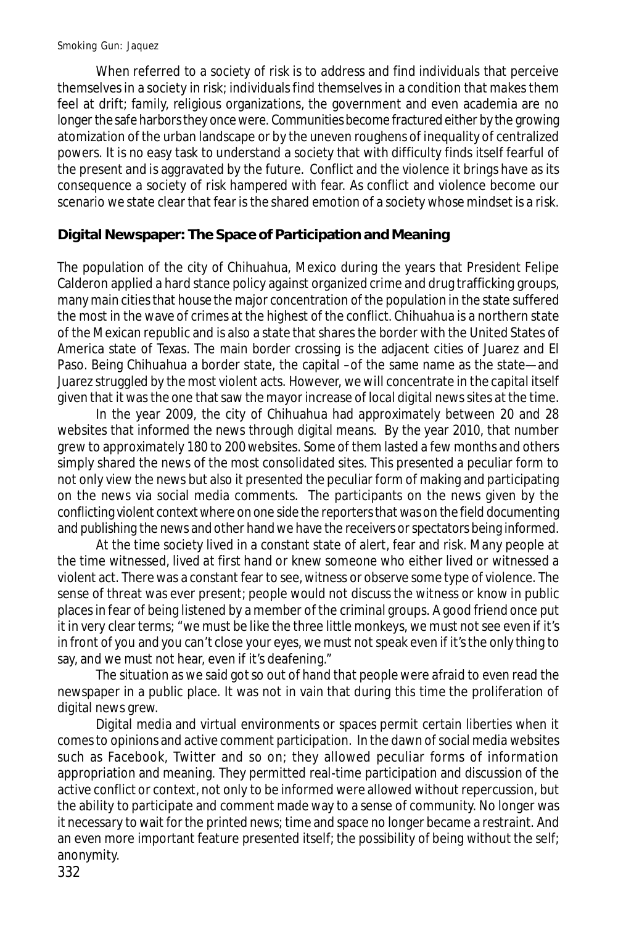When referred to a society of risk is to address and find individuals that perceive themselves in a society in risk; individuals find themselves in a condition that makes them feel at drift; family, religious organizations, the government and even academia are no longer the safe harbors they once were. Communities become fractured either by the growing atomization of the urban landscape or by the uneven roughens of inequality of centralized powers. It is no easy task to understand a society that with difficulty finds itself fearful of the present and is aggravated by the future. Conflict and the violence it brings have as its consequence a society of risk hampered with fear. As conflict and violence become our scenario we state clear that fear is the shared emotion of a society whose mindset is a risk.

# **Digital Newspaper: The Space of Participation and Meaning**

The population of the city of Chihuahua, Mexico during the years that President Felipe Calderon applied a hard stance policy against organized crime and drug trafficking groups, many main cities that house the major concentration of the population in the state suffered the most in the wave of crimes at the highest of the conflict. Chihuahua is a northern state of the Mexican republic and is also a state that shares the border with the United States of America state of Texas. The main border crossing is the adjacent cities of Juarez and El Paso. Being Chihuahua a border state, the capital –of the same name as the state—and Juarez struggled by the most violent acts. However, we will concentrate in the capital itself given that it was the one that saw the mayor increase of local digital news sites at the time.

In the year 2009, the city of Chihuahua had approximately between 20 and 28 websites that informed the news through digital means. By the year 2010, that number grew to approximately 180 to 200 websites. Some of them lasted a few months and others simply shared the news of the most consolidated sites. This presented a peculiar form to not only view the news but also it presented the peculiar form of making and participating on the news via social media comments. The participants on the news given by the conflicting violent context where on one side the reporters that was on the field documenting and publishing the news and other hand we have the receivers or spectators being informed.

At the time society lived in a constant state of alert, fear and risk. Many people at the time witnessed, lived at first hand or knew someone who either lived or witnessed a violent act. There was a constant fear to see, witness or observe some type of violence. The sense of threat was ever present; people would not discuss the witness or know in public places in fear of being listened by a member of the criminal groups. A good friend once put it in very clear terms; "we must be like the three little monkeys, we must not see even if it's in front of you and you can't close your eyes, we must not speak even if it's the only thing to say, and we must not hear, even if it's deafening."

The situation as we said got so out of hand that people were afraid to even read the newspaper in a public place. It was not in vain that during this time the proliferation of digital news grew.

Digital media and virtual environments or spaces permit certain liberties when it comes to opinions and active comment participation. In the dawn of social media websites such as Facebook, Twitter and so on; they allowed peculiar forms of information appropriation and meaning. They permitted real-time participation and discussion of the active conflict or context, not only to be informed were allowed without repercussion, but the ability to participate and comment made way to a sense of community. No longer was it necessary to wait for the printed news; time and space no longer became a restraint. And an even more important feature presented itself; the possibility of being without the self; anonymity.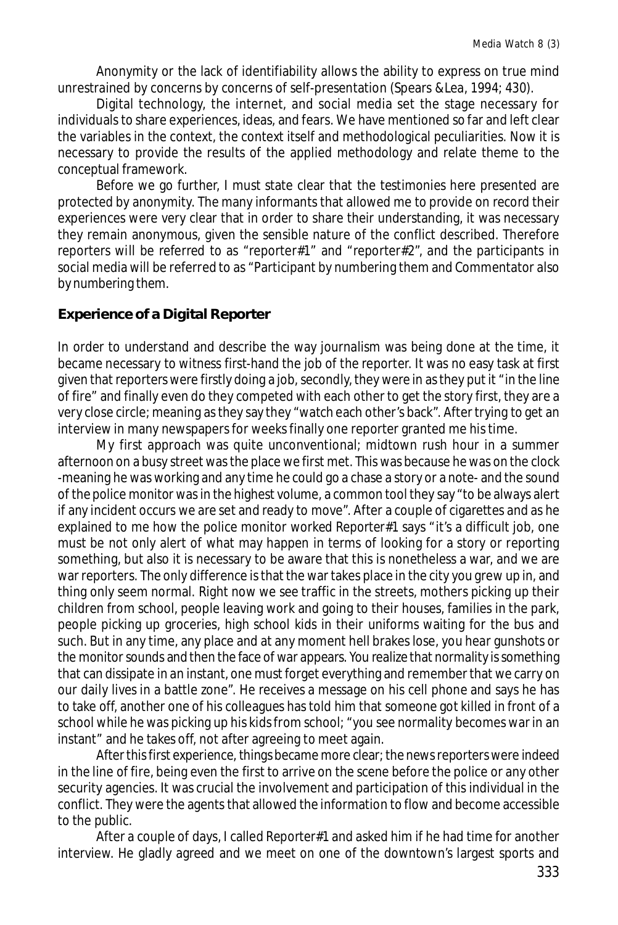Anonymity or the lack of identifiability allows the ability to express on true mind unrestrained by concerns by concerns of self-presentation (Spears &Lea, 1994; 430).

Digital technology, the internet, and social media set the stage necessary for individuals to share experiences, ideas, and fears. We have mentioned so far and left clear the variables in the context, the context itself and methodological peculiarities. Now it is necessary to provide the results of the applied methodology and relate theme to the conceptual framework.

Before we go further, I must state clear that the testimonies here presented are protected by anonymity. The many informants that allowed me to provide on record their experiences were very clear that in order to share their understanding, it was necessary they remain anonymous, given the sensible nature of the conflict described. Therefore reporters will be referred to as "reporter#1" and "reporter#2", and the participants in social media will be referred to as "Participant by numbering them and Commentator also by numbering them.

## **Experience of a Digital Reporter**

In order to understand and describe the way journalism was being done at the time, it became necessary to witness first-hand the job of the reporter. It was no easy task at first given that reporters were firstly doing a job, secondly, they were in as they put it "in the line of fire" and finally even do they competed with each other to get the story first, they are a very close circle; meaning as they say they "watch each other's back". After trying to get an interview in many newspapers for weeks finally one reporter granted me his time.

My first approach was quite unconventional; midtown rush hour in a summer afternoon on a busy street was the place we first met. This was because he was on the clock -meaning he was working and any time he could go a chase a story or a note- and the sound of the police monitor was in the highest volume, a common tool they say "to be always alert if any incident occurs we are set and ready to move". After a couple of cigarettes and as he explained to me how the police monitor worked *Reporter#1* says "it's a difficult job, one must be not only alert of what may happen in terms of looking for a story or reporting something, but also it is necessary to be aware that this is nonetheless a war, and we are war reporters. The only difference is that the war takes place in the city you grew up in, and thing only seem normal. Right now we see traffic in the streets, mothers picking up their children from school, people leaving work and going to their houses, families in the park, people picking up groceries, high school kids in their uniforms waiting for the bus and such. But in any time, any place and at any moment hell brakes lose, you hear gunshots or the monitor sounds and then the face of war appears. You realize that normality is something that can dissipate in an instant, one must forget everything and remember that we carry on our daily lives in a battle zone". He receives a message on his cell phone and says he has to take off, another one of his colleagues has told him that someone got killed in front of a school while he was picking up his kids from school; "you see normality becomes war in an instant" and he takes off, not after agreeing to meet again.

After this first experience, things became more clear; the news reporters were indeed in the line of fire, being even the first to arrive on the scene before the police or any other security agencies. It was crucial the involvement and participation of this individual in the conflict. They were the agents that allowed the information to flow and become accessible to the public.

After a couple of days, I called *Reporter#*1 and asked him if he had time for another interview. He gladly agreed and we meet on one of the downtown's largest sports and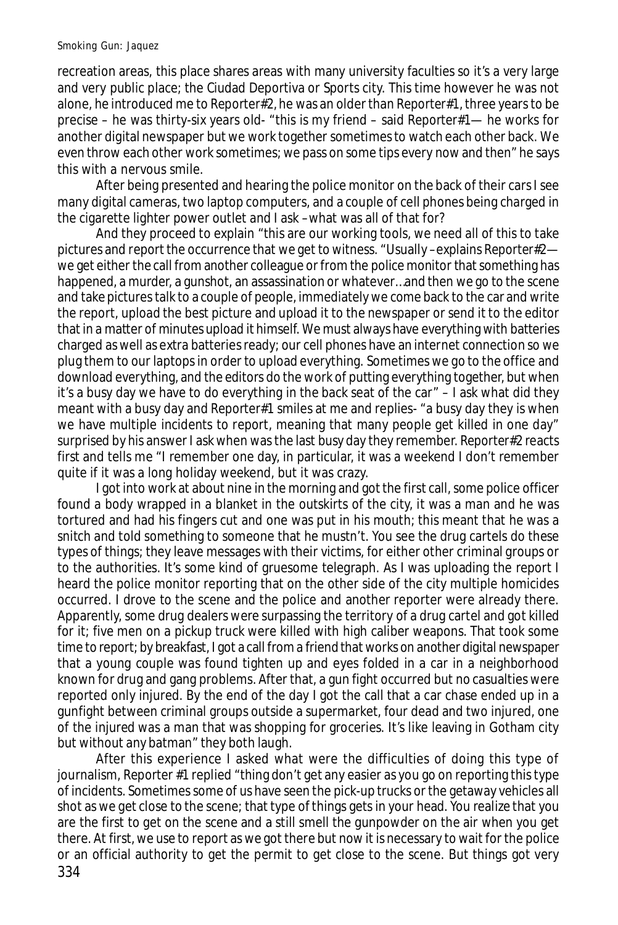recreation areas, this place shares areas with many university faculties so it's a very large and very public place; the Ciudad Deportiva or Sports city. This time however he was not alone, he introduced me to *Reporter#*2*,* he was an older than *Reporter*#1, three years to be precise – he was thirty-six years old- "this is my friend – said *Reporter*#1— he works for another digital newspaper but we work together sometimes to watch each other back. We even throw each other work sometimes; we pass on some tips every now and then" he says this with a nervous smile.

After being presented and hearing the police monitor on the back of their cars I see many digital cameras, two laptop computers, and a couple of cell phones being charged in the cigarette lighter power outlet and I ask –what was all of that for?

And they proceed to explain "this are our working tools, we need all of this to take pictures and report the occurrence that we get to witness. "Usually –explains *Reporter*#2 we get either the call from another colleague or from the police monitor that something has happened, a murder, a gunshot, an assassination or whatever…and then we go to the scene and take pictures talk to a couple of people, immediately we come back to the car and write the report, upload the best picture and upload it to the newspaper or send it to the editor that in a matter of minutes upload it himself. We must always have everything with batteries charged as well as extra batteries ready; our cell phones have an internet connection so we plug them to our laptops in order to upload everything. Sometimes we go to the office and download everything, and the editors do the work of putting everything together, but when it's a busy day we have to do everything in the back seat of the car" – I ask what did they meant with a busy day and *Reporter*#1 smiles at me and replies- "a busy day they is when we have multiple incidents to report, meaning that many people get killed in one day" surprised by his answer I ask when was the last busy day they remember. *Reporter*#2 reacts first and tells me "I remember one day, in particular, it was a weekend I don't remember quite if it was a long holiday weekend, but it was crazy.

I got into work at about nine in the morning and got the first call, some police officer found a body wrapped in a blanket in the outskirts of the city, it was a man and he was tortured and had his fingers cut and one was put in his mouth; this meant that he was a snitch and told something to someone that he mustn't. You see the drug cartels do these types of things; they leave messages with their victims, for either other criminal groups or to the authorities. It's some kind of gruesome telegraph. As I was uploading the report I heard the police monitor reporting that on the other side of the city multiple homicides occurred. I drove to the scene and the police and another reporter were already there. Apparently, some drug dealers were surpassing the territory of a drug cartel and got killed for it; five men on a pickup truck were killed with high caliber weapons. That took some time to report; by breakfast, I got a call from a friend that works on another digital newspaper that a young couple was found tighten up and eyes folded in a car in a neighborhood known for drug and gang problems. After that, a gun fight occurred but no casualties were reported only injured. By the end of the day I got the call that a car chase ended up in a gunfight between criminal groups outside a supermarket, four dead and two injured, one of the injured was a man that was shopping for groceries. It's like leaving in Gotham city but without any batman" they both laugh.

334 After this experience I asked what were the difficulties of doing this type of journalism, *Reporter* #1 replied "thing don't get any easier as you go on reporting this type of incidents. Sometimes some of us have seen the pick-up trucks or the getaway vehicles all shot as we get close to the scene; that type of things gets in your head. You realize that you are the first to get on the scene and a still smell the gunpowder on the air when you get there. At first, we use to report as we got there but now it is necessary to wait for the police or an official authority to get the permit to get close to the scene. But things got very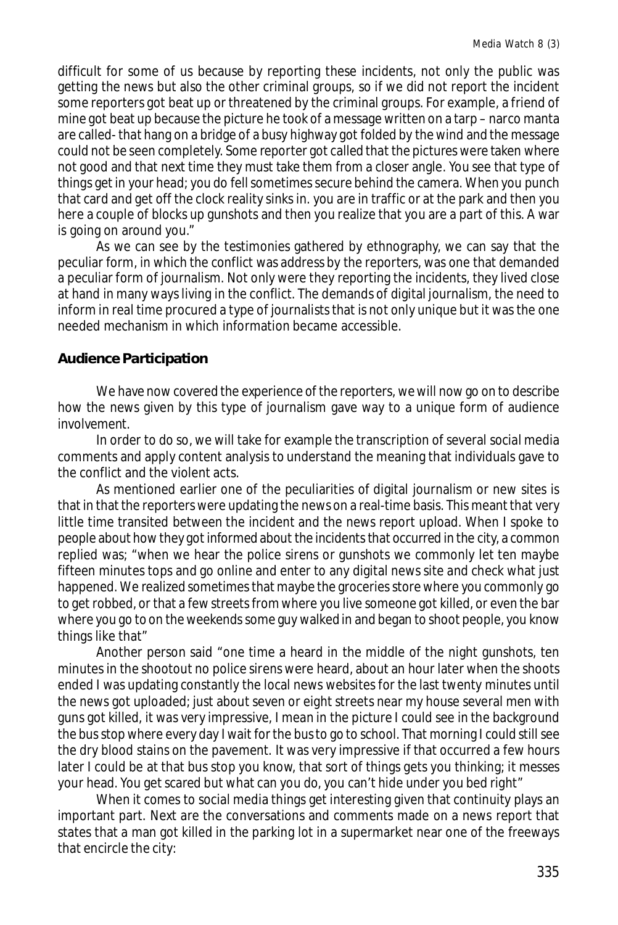difficult for some of us because by reporting these incidents, not only the public was getting the news but also the other criminal groups, so if we did not report the incident some reporters got beat up or threatened by the criminal groups. For example, a friend of mine got beat up because the picture he took of a message written on a tarp – narco manta are called- that hang on a bridge of a busy highway got folded by the wind and the message could not be seen completely. Some reporter got called that the pictures were taken where not good and that next time they must take them from a closer angle. You see that type of things get in your head; you do fell sometimes secure behind the camera. When you punch that card and get off the clock reality sinks in. you are in traffic or at the park and then you here a couple of blocks up gunshots and then you realize that you are a part of this. A war is going on around you."

As we can see by the testimonies gathered by ethnography, we can say that the peculiar form, in which the conflict was address by the reporters, was one that demanded a peculiar form of journalism. Not only were they reporting the incidents, they lived close at hand in many ways living in the conflict. The demands of digital journalism, the need to inform in real time procured a type of journalists that is not only unique but it was the one needed mechanism in which information became accessible.

### **Audience Participation**

We have now covered the experience of the reporters, we will now go on to describe how the news given by this type of journalism gave way to a unique form of audience involvement.

In order to do so, we will take for example the transcription of several social media comments and apply content analysis to understand the meaning that individuals gave to the conflict and the violent acts.

As mentioned earlier one of the peculiarities of digital journalism or new sites is that in that the reporters were updating the news on a real-time basis. This meant that very little time transited between the incident and the news report upload. When I spoke to people about how they got informed about the incidents that occurred in the city, a common replied was; "when we hear the police sirens or gunshots we commonly let ten maybe fifteen minutes tops and go online and enter to any digital news site and check what just happened. We realized sometimes that maybe the groceries store where you commonly go to get robbed, or that a few streets from where you live someone got killed, or even the bar where you go to on the weekends some guy walked in and began to shoot people, you know things like that"

Another person said "one time a heard in the middle of the night gunshots, ten minutes in the shootout no police sirens were heard, about an hour later when the shoots ended I was updating constantly the local news websites for the last twenty minutes until the news got uploaded; just about seven or eight streets near my house several men with guns got killed, it was very impressive, I mean in the picture I could see in the background the bus stop where every day I wait for the bus to go to school. That morning I could still see the dry blood stains on the pavement. It was very impressive if that occurred a few hours later I could be at that bus stop you know, that sort of things gets you thinking; it messes your head. You get scared but what can you do, you can't hide under you bed right"

When it comes to social media things get interesting given that continuity plays an important part. Next are the conversations and comments made on a news report that states that a man got killed in the parking lot in a supermarket near one of the freeways that encircle the city: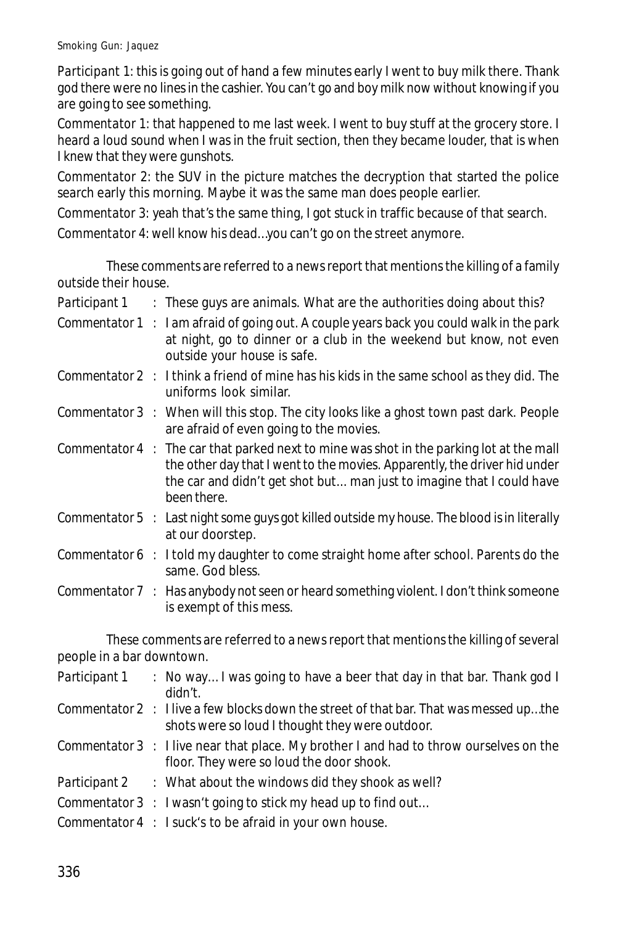*Participant* 1: this is going out of hand a few minutes early I went to buy milk there. Thank god there were no lines in the cashier. You can't go and boy milk now without knowing if you are going to see something.

*Commentator* 1: that happened to me last week. I went to buy stuff at the grocery store. I heard a loud sound when I was in the fruit section, then they became louder, that is when I knew that they were gunshots.

*Commentator* 2: the SUV in the picture matches the decryption that started the police search early this morning. Maybe it was the same man does people earlier.

*Commentator* 3: yeah that's the same thing, I got stuck in traffic because of that search.

*Commentator* 4: well know his dead…you can't go on the street anymore.

These comments are referred to a news report that mentions the killing of a family outside their house.

| Participant 1 |  | These guys are animals. What are the authorities doing about this? |  |
|---------------|--|--------------------------------------------------------------------|--|
|---------------|--|--------------------------------------------------------------------|--|

- *Commentator* 1 : I am afraid of going out. A couple years back you could walk in the park at night, go to dinner or a club in the weekend but know, not even outside your house is safe.
- *Commentator* 2 : I think a friend of mine has his kids in the same school as they did. The uniforms look similar.
- *Commentator* 3 : When will this stop. The city looks like a ghost town past dark. People are afraid of even going to the movies.
- *Commentator* 4 : The car that parked next to mine was shot in the parking lot at the mall the other day that I went to the movies. Apparently, the driver hid under the car and didn't get shot but... man just to imagine that I could have been there.
- *Commentator* 5 : Last night some guys got killed outside my house. The blood is in literally at our doorstep.
- *Commentator* 6 : I told my daughter to come straight home after school. Parents do the same. God bless.
- *Commentator* 7 : Has anybody not seen or heard something violent. I don't think someone is exempt of this mess.

These comments are referred to a news report that mentions the killing of several people in a bar downtown.

| Participant 1 | : No way I was going to have a beer that day in that bar. Thank god I<br>didn't.                                                                 |
|---------------|--------------------------------------------------------------------------------------------------------------------------------------------------|
|               | <i>Commentator</i> 2 : I live a few blocks down the street of that bar. That was messed upthe<br>shots were so loud I thought they were outdoor. |
|               | Commentator 3 : I live near that place. My brother I and had to throw ourselves on the<br>floor. They were so loud the door shook.               |
|               | Participant 2 : What about the windows did they shook as well?                                                                                   |
|               | Commentator 3 : I wasn't going to stick my head up to find out                                                                                   |
|               | Commentator 4 : I suck's to be afraid in your own house.                                                                                         |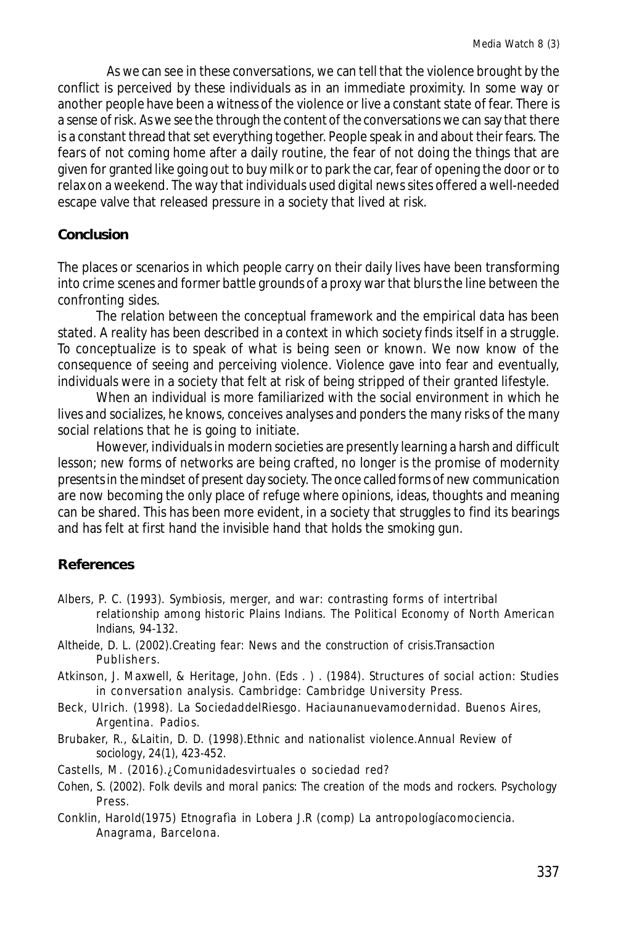As we can see in these conversations, we can tell that the violence brought by the conflict is perceived by these individuals as in an immediate proximity. In some way or another people have been a witness of the violence or live a constant state of fear. There is a sense of risk. As we see the through the content of the conversations we can say that there is a constant thread that set everything together. People speak in and about their fears. The fears of not coming home after a daily routine, the fear of not doing the things that are given for granted like going out to buy milk or to park the car, fear of opening the door or to relax on a weekend. The way that individuals used digital news sites offered a well-needed escape valve that released pressure in a society that lived at risk.

## **Conclusion**

The places or scenarios in which people carry on their daily lives have been transforming into crime scenes and former battle grounds of a proxy war that blurs the line between the confronting sides.

The relation between the conceptual framework and the empirical data has been stated. A reality has been described in a context in which society finds itself in a struggle. To conceptualize is to speak of what is being seen or known. We now know of the consequence of seeing and perceiving violence. Violence gave into fear and eventually, individuals were in a society that felt at risk of being stripped of their granted lifestyle.

When an individual is more familiarized with the social environment in which he lives and socializes, he knows, conceives analyses and ponders the many risks of the many social relations that he is going to initiate.

However, individuals in modern societies are presently learning a harsh and difficult lesson; new forms of networks are being crafted, no longer is the promise of modernity presents in the mindset of present day society. The once called forms of new communication are now becoming the only place of refuge where opinions, ideas, thoughts and meaning can be shared. This has been more evident, in a society that struggles to find its bearings and has felt at first hand the invisible hand that holds the smoking gun.

## **References**

- Albers, P. C. (1993). Symbiosis, merger, and war: contrasting forms of intertribal relationship among historic Plains Indians. *The Political Economy of North American Indians*, 94-132.
- Altheide, D. L. (2002).*Creating fear: News and the construction of crisis*.Transaction Publishers.
- Atkinson, J. Maxwell, & Heritage, John. (Eds . ) . (1984). Structures of social action: Studies in conversation analysis. Cambridge: Cambridge University Press.
- Beck, Ulrich. (1998). La SociedaddelRiesgo. Haciaunanuevamodernidad. Buenos Aires, Argentina. Padios.
- Brubaker, R., &Laitin, D. D. (1998).Ethnic and nationalist violence.*Annual Review of sociology*, *24*(1), 423-452.
- Castells, M. (2016).¿Comunidadesvirtuales o sociedad red?
- Cohen, S. (2002). *Folk devils and moral panics: The creation of the mods and rockers*. Psychology Press.
- Conklin, Harold(1975) *Etnografìa* in Lobera J.R (comp) La antropologíacomociencia. Anagrama, Barcelona.